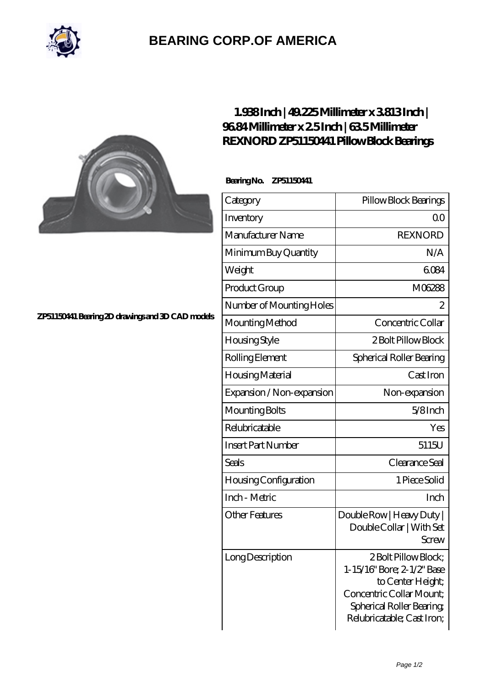

## **[BEARING CORP.OF AMERICA](https://bluemondayreview.com)**



## **[1.938 Inch | 49.225 Millimeter x 3.813 Inch |](https://bluemondayreview.com/bd-176878-rexnord-zp51150441-pillow-block-bearings.html) [96.84 Millimeter x 2.5 Inch | 63.5 Millimeter](https://bluemondayreview.com/bd-176878-rexnord-zp51150441-pillow-block-bearings.html) [REXNORD ZP51150441 Pillow Block Bearings](https://bluemondayreview.com/bd-176878-rexnord-zp51150441-pillow-block-bearings.html)**

 **Bearing No. ZP51150441**

| Category                  | Pillow Block Bearings                                                                                                                                         |
|---------------------------|---------------------------------------------------------------------------------------------------------------------------------------------------------------|
| Inventory                 | Q0                                                                                                                                                            |
| Manufacturer Name         | <b>REXNORD</b>                                                                                                                                                |
| Minimum Buy Quantity      | N/A                                                                                                                                                           |
| Weight                    | 6084                                                                                                                                                          |
| Product Group             | M06288                                                                                                                                                        |
| Number of Mounting Holes  | $\overline{c}$                                                                                                                                                |
| Mounting Method           | Concentric Collar                                                                                                                                             |
| Housing Style             | 2 Bolt Pillow Block                                                                                                                                           |
| Rolling Element           | Spherical Roller Bearing                                                                                                                                      |
| Housing Material          | Cast Iron                                                                                                                                                     |
| Expansion / Non-expansion | Non-expansion                                                                                                                                                 |
| Mounting Bolts            | $5/8$ Inch                                                                                                                                                    |
| Relubricatable            | Yes                                                                                                                                                           |
| <b>Insert Part Number</b> | 5115U                                                                                                                                                         |
| Seals                     | Clearance Seal                                                                                                                                                |
| Housing Configuration     | 1 Piece Solid                                                                                                                                                 |
| Inch - Metric             | Inch                                                                                                                                                          |
| <b>Other Features</b>     | Double Row   Heavy Duty  <br>Double Collar   With Set<br>Screw                                                                                                |
| Long Description          | 2 Bolt Pillow Block;<br>1-15/16" Bore; 2-1/2" Base<br>to Center Height;<br>Concentric Collar Mount;<br>Spherical Roller Bearing<br>Relubricatable; Cast Iron; |

**[ZP51150441 Bearing 2D drawings and 3D CAD models](https://bluemondayreview.com/pic-176878.html)**